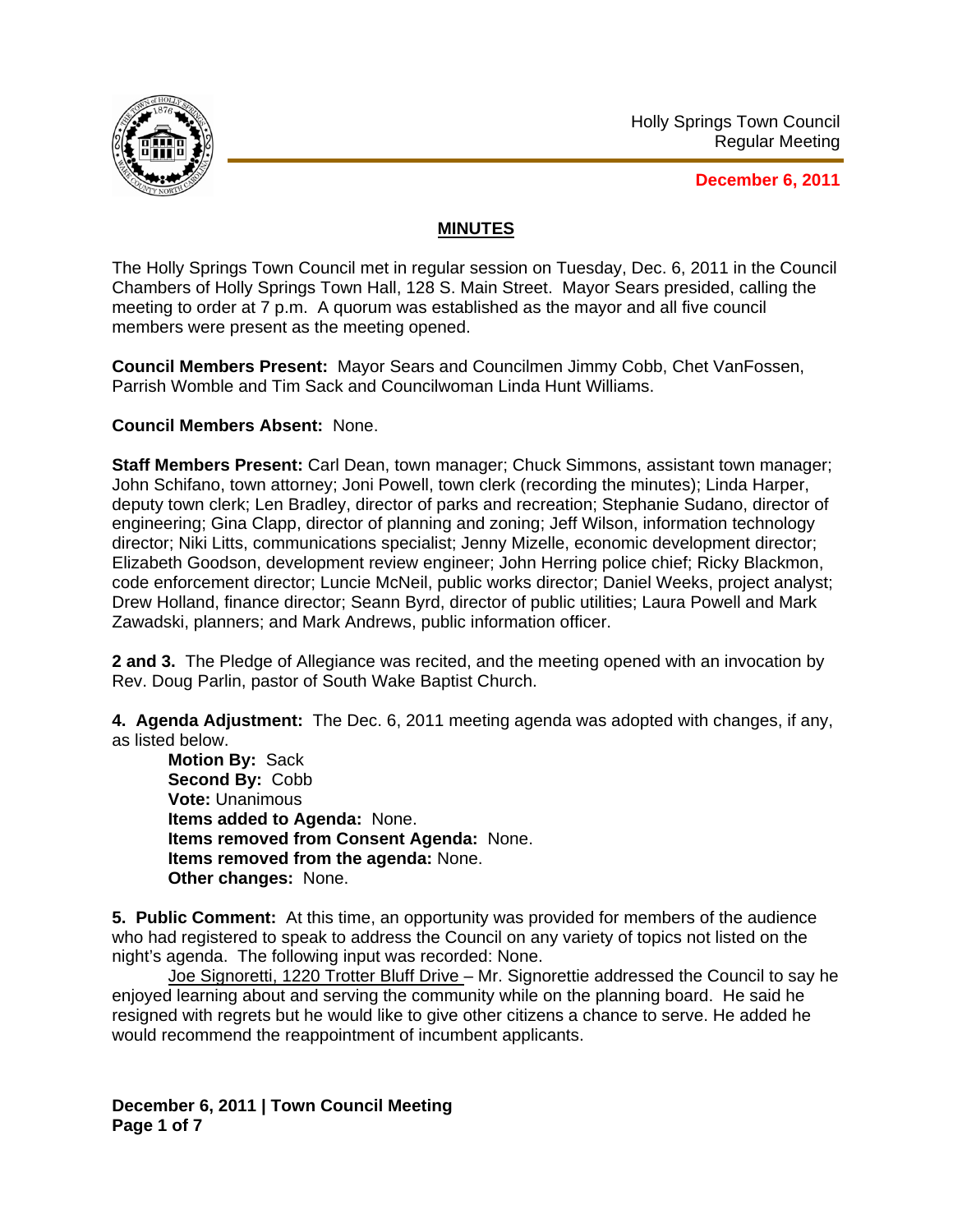

**December 6, 2011**

## **MINUTES**

The Holly Springs Town Council met in regular session on Tuesday, Dec. 6, 2011 in the Council Chambers of Holly Springs Town Hall, 128 S. Main Street. Mayor Sears presided, calling the meeting to order at 7 p.m. A quorum was established as the mayor and all five council members were present as the meeting opened.

**Council Members Present:** Mayor Sears and Councilmen Jimmy Cobb, Chet VanFossen, Parrish Womble and Tim Sack and Councilwoman Linda Hunt Williams.

**Council Members Absent:** None.

**Staff Members Present:** Carl Dean, town manager; Chuck Simmons, assistant town manager; John Schifano, town attorney; Joni Powell, town clerk (recording the minutes); Linda Harper, deputy town clerk; Len Bradley, director of parks and recreation; Stephanie Sudano, director of engineering; Gina Clapp, director of planning and zoning; Jeff Wilson, information technology director; Niki Litts, communications specialist; Jenny Mizelle, economic development director; Elizabeth Goodson, development review engineer; John Herring police chief; Ricky Blackmon, code enforcement director; Luncie McNeil, public works director; Daniel Weeks, project analyst; Drew Holland, finance director; Seann Byrd, director of public utilities; Laura Powell and Mark Zawadski, planners; and Mark Andrews, public information officer.

**2 and 3.** The Pledge of Allegiance was recited, and the meeting opened with an invocation by Rev. Doug Parlin, pastor of South Wake Baptist Church.

**4. Agenda Adjustment:** The Dec. 6, 2011 meeting agenda was adopted with changes, if any, as listed below.

**Motion By:** Sack **Second By:** Cobb **Vote:** Unanimous **Items added to Agenda:** None. **Items removed from Consent Agenda:** None. **Items removed from the agenda:** None. **Other changes:** None.

**5. Public Comment:** At this time, an opportunity was provided for members of the audience who had registered to speak to address the Council on any variety of topics not listed on the night's agenda. The following input was recorded: None.

Joe Signoretti, 1220 Trotter Bluff Drive – Mr. Signorettie addressed the Council to say he enjoyed learning about and serving the community while on the planning board. He said he resigned with regrets but he would like to give other citizens a chance to serve. He added he would recommend the reappointment of incumbent applicants.

**December 6, 2011 | Town Council Meeting Page 1 of 7**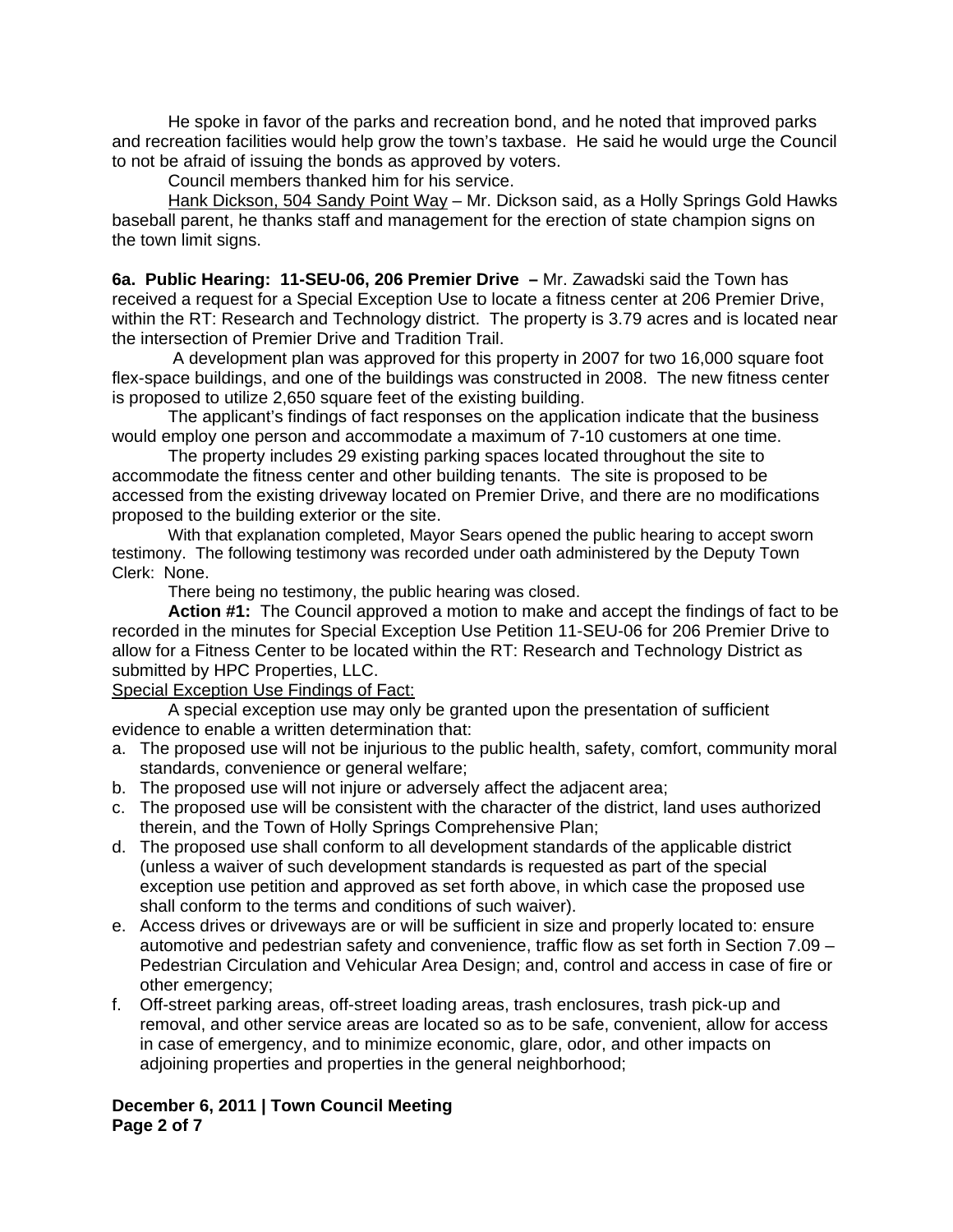He spoke in favor of the parks and recreation bond, and he noted that improved parks and recreation facilities would help grow the town's taxbase. He said he would urge the Council to not be afraid of issuing the bonds as approved by voters.

Council members thanked him for his service.

 Hank Dickson, 504 Sandy Point Way – Mr. Dickson said, as a Holly Springs Gold Hawks baseball parent, he thanks staff and management for the erection of state champion signs on the town limit signs.

**6a. Public Hearing: 11-SEU-06, 206 Premier Drive –** Mr. Zawadski said the Town has received a request for a Special Exception Use to locate a fitness center at 206 Premier Drive, within the RT: Research and Technology district. The property is 3.79 acres and is located near the intersection of Premier Drive and Tradition Trail.

 A development plan was approved for this property in 2007 for two 16,000 square foot flex-space buildings, and one of the buildings was constructed in 2008. The new fitness center is proposed to utilize 2,650 square feet of the existing building.

The applicant's findings of fact responses on the application indicate that the business would employ one person and accommodate a maximum of 7-10 customers at one time.

The property includes 29 existing parking spaces located throughout the site to accommodate the fitness center and other building tenants. The site is proposed to be accessed from the existing driveway located on Premier Drive, and there are no modifications proposed to the building exterior or the site.

With that explanation completed, Mayor Sears opened the public hearing to accept sworn testimony. The following testimony was recorded under oath administered by the Deputy Town Clerk: None.

There being no testimony, the public hearing was closed.

**Action #1:** The Council approved a motion to make and accept the findings of fact to be recorded in the minutes for Special Exception Use Petition 11-SEU-06 for 206 Premier Drive to allow for a Fitness Center to be located within the RT: Research and Technology District as submitted by HPC Properties, LLC.

Special Exception Use Findings of Fact:

 A special exception use may only be granted upon the presentation of sufficient evidence to enable a written determination that:

- a. The proposed use will not be injurious to the public health, safety, comfort, community moral standards, convenience or general welfare;
- b. The proposed use will not injure or adversely affect the adjacent area;
- c. The proposed use will be consistent with the character of the district, land uses authorized therein, and the Town of Holly Springs Comprehensive Plan;
- d. The proposed use shall conform to all development standards of the applicable district (unless a waiver of such development standards is requested as part of the special exception use petition and approved as set forth above, in which case the proposed use shall conform to the terms and conditions of such waiver).
- e. Access drives or driveways are or will be sufficient in size and properly located to: ensure automotive and pedestrian safety and convenience, traffic flow as set forth in Section 7.09 – Pedestrian Circulation and Vehicular Area Design; and, control and access in case of fire or other emergency;
- f. Off-street parking areas, off-street loading areas, trash enclosures, trash pick-up and removal, and other service areas are located so as to be safe, convenient, allow for access in case of emergency, and to minimize economic, glare, odor, and other impacts on adioining properties and properties in the general neighborhood;

## **December 6, 2011 | Town Council Meeting Page 2 of 7**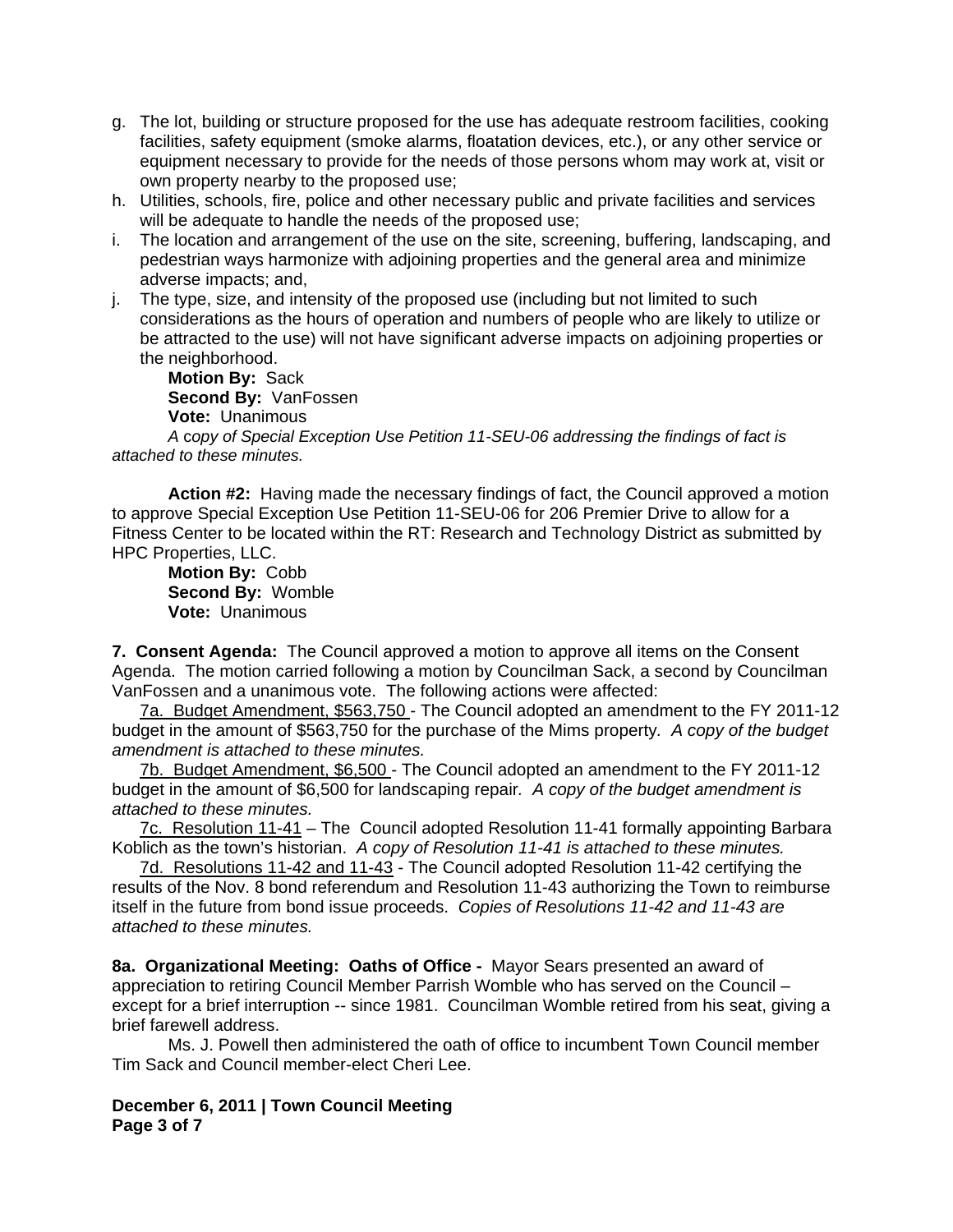- g. The lot, building or structure proposed for the use has adequate restroom facilities, cooking facilities, safety equipment (smoke alarms, floatation devices, etc.), or any other service or equipment necessary to provide for the needs of those persons whom may work at, visit or own property nearby to the proposed use;
- h. Utilities, schools, fire, police and other necessary public and private facilities and services will be adequate to handle the needs of the proposed use;
- i. The location and arrangement of the use on the site, screening, buffering, landscaping, and pedestrian ways harmonize with adjoining properties and the general area and minimize adverse impacts; and,
- j. The type, size, and intensity of the proposed use (including but not limited to such considerations as the hours of operation and numbers of people who are likely to utilize or be attracted to the use) will not have significant adverse impacts on adjoining properties or the neighborhood.

**Motion By:** Sack **Second By:** VanFossen **Vote:** Unanimous

*A* c*opy of Special Exception Use Petition 11-SEU-06 addressing the findings of fact is attached to these minutes.* 

**Action #2:** Having made the necessary findings of fact, the Council approved a motion to approve Special Exception Use Petition 11-SEU-06 for 206 Premier Drive to allow for a Fitness Center to be located within the RT: Research and Technology District as submitted by HPC Properties, LLC.

**Motion By:** Cobb **Second By:** Womble **Vote:** Unanimous

**7. Consent Agenda:** The Council approved a motion to approve all items on the Consent Agenda. The motion carried following a motion by Councilman Sack, a second by Councilman VanFossen and a unanimous vote. The following actions were affected:

7a. Budget Amendment, \$563,750 - The Council adopted an amendment to the FY 2011-12 budget in the amount of \$563,750 for the purchase of the Mims property*. A copy of the budget amendment is attached to these minutes.* 

7b. Budget Amendment, \$6,500 - The Council adopted an amendment to the FY 2011-12 budget in the amount of \$6,500 for landscaping repair*. A copy of the budget amendment is attached to these minutes.* 

7c. Resolution 11-41 – The Council adopted Resolution 11-41 formally appointing Barbara Koblich as the town's historian. *A copy of Resolution 11-41 is attached to these minutes.*

7d. Resolutions 11-42 and 11-43 - The Council adopted Resolution 11-42 certifying the results of the Nov. 8 bond referendum and Resolution 11-43 authorizing the Town to reimburse itself in the future from bond issue proceeds. *Copies of Resolutions 11-42 and 11-43 are attached to these minutes.*

**8a. Organizational Meeting: Oaths of Office -** Mayor Sears presented an award of appreciation to retiring Council Member Parrish Womble who has served on the Council – except for a brief interruption -- since 1981. Councilman Womble retired from his seat, giving a brief farewell address.

Ms. J. Powell then administered the oath of office to incumbent Town Council member Tim Sack and Council member-elect Cheri Lee.

**December 6, 2011 | Town Council Meeting Page 3 of 7**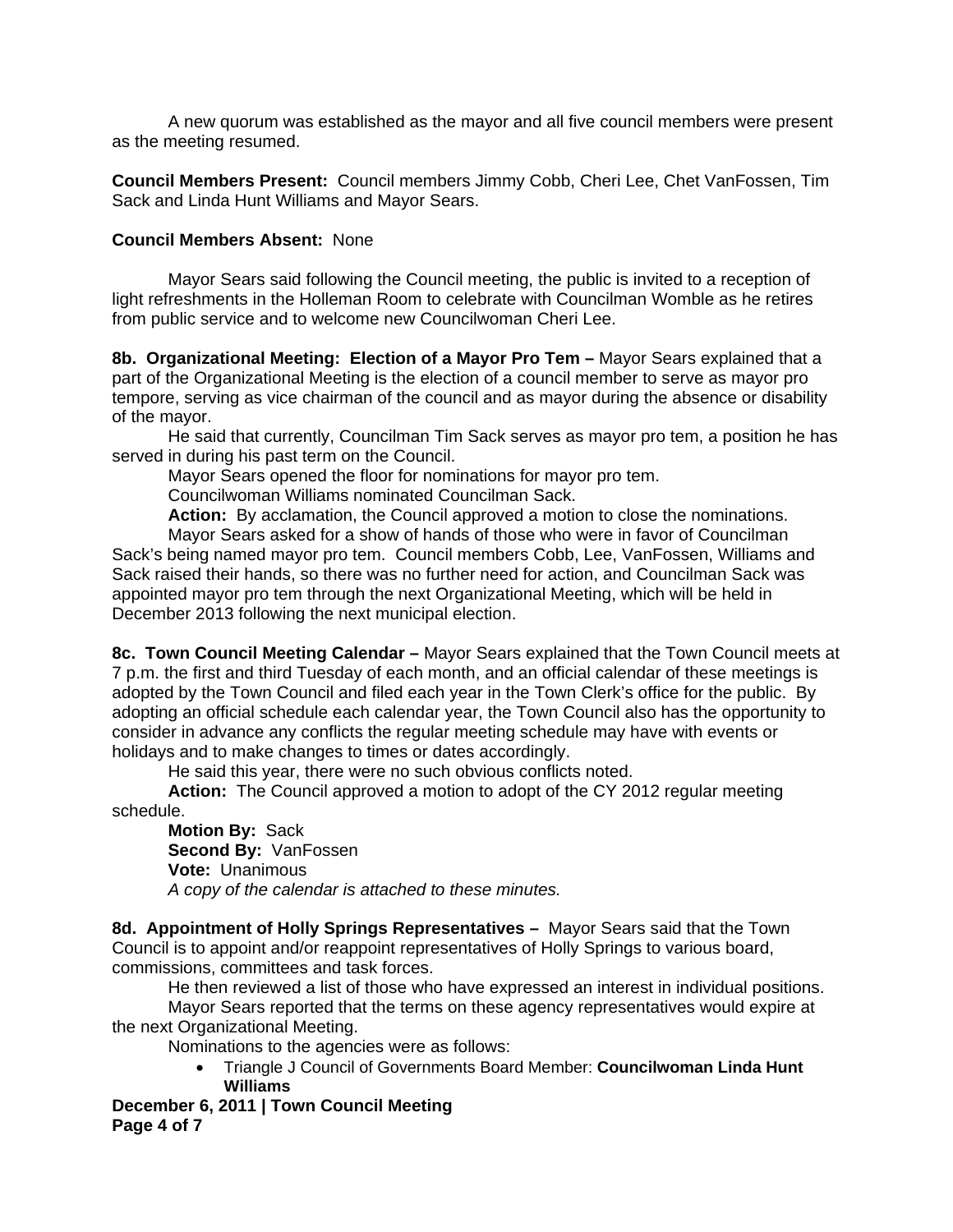A new quorum was established as the mayor and all five council members were present as the meeting resumed.

**Council Members Present:** Council members Jimmy Cobb, Cheri Lee, Chet VanFossen, Tim Sack and Linda Hunt Williams and Mayor Sears.

## **Council Members Absent:** None

Mayor Sears said following the Council meeting, the public is invited to a reception of light refreshments in the Holleman Room to celebrate with Councilman Womble as he retires from public service and to welcome new Councilwoman Cheri Lee.

**8b. Organizational Meeting: Election of a Mayor Pro Tem –** Mayor Sears explained that a part of the Organizational Meeting is the election of a council member to serve as mayor pro tempore, serving as vice chairman of the council and as mayor during the absence or disability of the mayor.

He said that currently, Councilman Tim Sack serves as mayor pro tem, a position he has served in during his past term on the Council.

Mayor Sears opened the floor for nominations for mayor pro tem.

Councilwoman Williams nominated Councilman Sack.

**Action:** By acclamation, the Council approved a motion to close the nominations.

Mayor Sears asked for a show of hands of those who were in favor of Councilman Sack's being named mayor pro tem. Council members Cobb, Lee, VanFossen, Williams and Sack raised their hands, so there was no further need for action, and Councilman Sack was appointed mayor pro tem through the next Organizational Meeting, which will be held in December 2013 following the next municipal election.

**8c. Town Council Meeting Calendar –** Mayor Sears explained that the Town Council meets at 7 p.m. the first and third Tuesday of each month, and an official calendar of these meetings is adopted by the Town Council and filed each year in the Town Clerk's office for the public. By adopting an official schedule each calendar year, the Town Council also has the opportunity to consider in advance any conflicts the regular meeting schedule may have with events or holidays and to make changes to times or dates accordingly.

He said this year, there were no such obvious conflicts noted.

**Action:** The Council approved a motion to adopt of the CY 2012 regular meeting schedule.

**Motion By:** Sack  **Second By:** VanFossen  **Vote:** Unanimous *A copy of the calendar is attached to these minutes.* 

**8d. Appointment of Holly Springs Representatives –** Mayor Sears said that the Town Council is to appoint and/or reappoint representatives of Holly Springs to various board, commissions, committees and task forces.

He then reviewed a list of those who have expressed an interest in individual positions.

Mayor Sears reported that the terms on these agency representatives would expire at the next Organizational Meeting.

Nominations to the agencies were as follows:

• Triangle J Council of Governments Board Member: **Councilwoman Linda Hunt Williams** 

**December 6, 2011 | Town Council Meeting Page 4 of 7**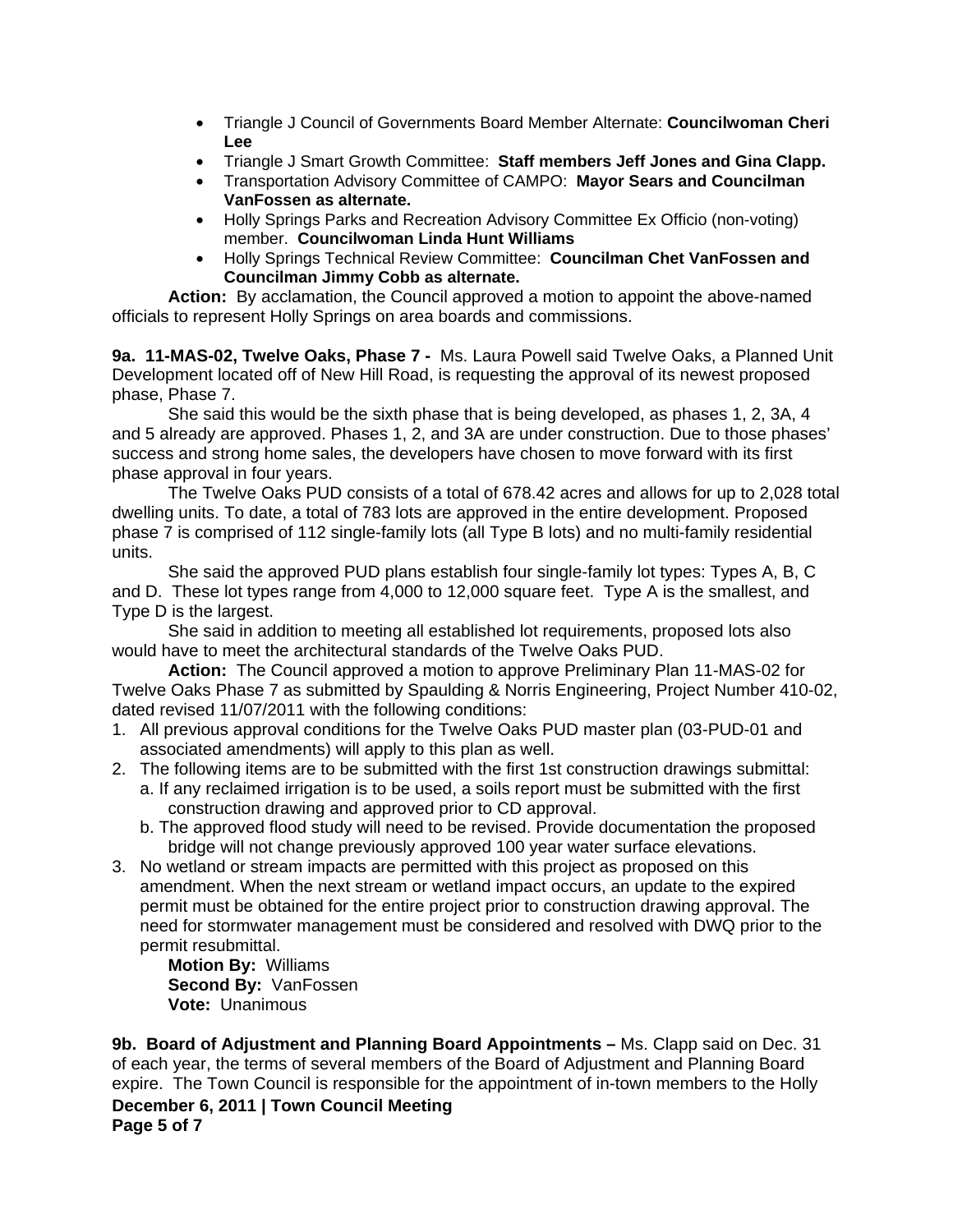- Triangle J Council of Governments Board Member Alternate: **Councilwoman Cheri Lee**
- Triangle J Smart Growth Committee: **Staff members Jeff Jones and Gina Clapp.**
- Transportation Advisory Committee of CAMPO: **Mayor Sears and Councilman VanFossen as alternate.**
- Holly Springs Parks and Recreation Advisory Committee Ex Officio (non-voting) member. **Councilwoman Linda Hunt Williams**
- Holly Springs Technical Review Committee: **Councilman Chet VanFossen and Councilman Jimmy Cobb as alternate.**

**Action:** By acclamation, the Council approved a motion to appoint the above-named officials to represent Holly Springs on area boards and commissions.

**9a. 11-MAS-02, Twelve Oaks, Phase 7 -** Ms. Laura Powell said Twelve Oaks, a Planned Unit Development located off of New Hill Road, is requesting the approval of its newest proposed phase, Phase 7.

 She said this would be the sixth phase that is being developed, as phases 1, 2, 3A, 4 and 5 already are approved. Phases 1, 2, and 3A are under construction. Due to those phases' success and strong home sales, the developers have chosen to move forward with its first phase approval in four years.

 The Twelve Oaks PUD consists of a total of 678.42 acres and allows for up to 2,028 total dwelling units. To date, a total of 783 lots are approved in the entire development. Proposed phase 7 is comprised of 112 single-family lots (all Type B lots) and no multi-family residential units.

 She said the approved PUD plans establish four single-family lot types: Types A, B, C and D. These lot types range from 4,000 to 12,000 square feet. Type A is the smallest, and Type D is the largest.

 She said in addition to meeting all established lot requirements, proposed lots also would have to meet the architectural standards of the Twelve Oaks PUD.

**Action:** The Council approved a motion to approve Preliminary Plan 11-MAS-02 for Twelve Oaks Phase 7 as submitted by Spaulding & Norris Engineering, Project Number 410-02, dated revised 11/07/2011 with the following conditions:

- 1. All previous approval conditions for the Twelve Oaks PUD master plan (03-PUD-01 and associated amendments) will apply to this plan as well.
- 2. The following items are to be submitted with the first 1st construction drawings submittal:
	- a. If any reclaimed irrigation is to be used, a soils report must be submitted with the first construction drawing and approved prior to CD approval.
		- b. The approved flood study will need to be revised. Provide documentation the proposed bridge will not change previously approved 100 year water surface elevations.
- 3. No wetland or stream impacts are permitted with this project as proposed on this amendment. When the next stream or wetland impact occurs, an update to the expired permit must be obtained for the entire project prior to construction drawing approval. The need for stormwater management must be considered and resolved with DWQ prior to the permit resubmittal.

**Motion By:** Williams  **Second By:** VanFossen  **Vote:** Unanimous

**December 6, 2011 | Town Council Meeting Page 5 of 7 9b. Board of Adjustment and Planning Board Appointments –** Ms. Clapp said on Dec. 31 of each year, the terms of several members of the Board of Adjustment and Planning Board expire. The Town Council is responsible for the appointment of in-town members to the Holly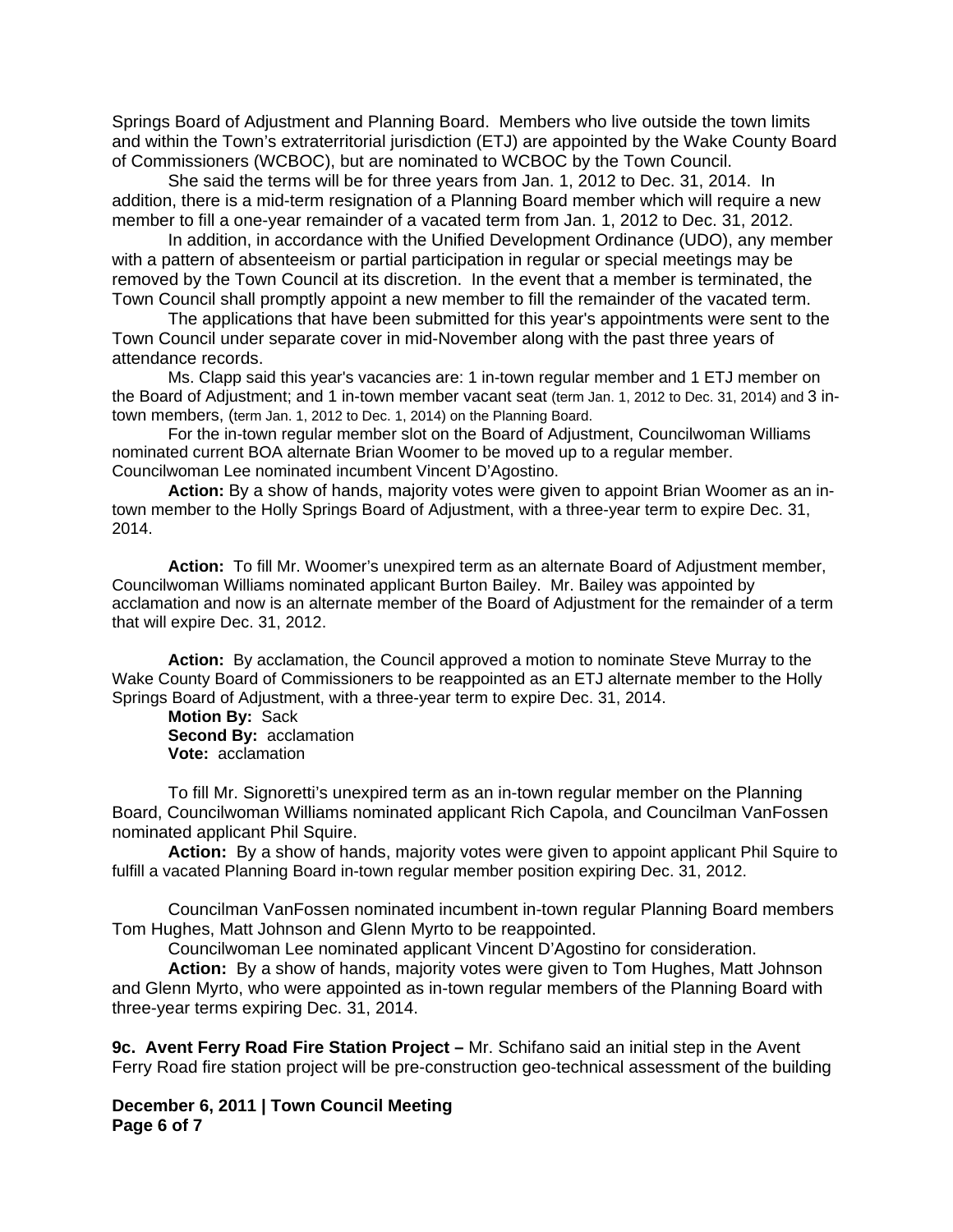Springs Board of Adjustment and Planning Board. Members who live outside the town limits and within the Town's extraterritorial jurisdiction (ETJ) are appointed by the Wake County Board of Commissioners (WCBOC), but are nominated to WCBOC by the Town Council.

 She said the terms will be for three years from Jan. 1, 2012 to Dec. 31, 2014. In addition, there is a mid-term resignation of a Planning Board member which will require a new member to fill a one-year remainder of a vacated term from Jan. 1, 2012 to Dec. 31, 2012.

 In addition, in accordance with the Unified Development Ordinance (UDO), any member with a pattern of absenteeism or partial participation in regular or special meetings may be removed by the Town Council at its discretion. In the event that a member is terminated, the Town Council shall promptly appoint a new member to fill the remainder of the vacated term.

 The applications that have been submitted for this year's appointments were sent to the Town Council under separate cover in mid-November along with the past three years of attendance records.

Ms. Clapp said this year's vacancies are: 1 in-town regular member and 1 ETJ member on the Board of Adjustment; and 1 in-town member vacant seat (term Jan. 1, 2012 to Dec. 31, 2014) and 3 intown members, (term Jan. 1, 2012 to Dec. 1, 2014) on the Planning Board.

For the in-town regular member slot on the Board of Adjustment, Councilwoman Williams nominated current BOA alternate Brian Woomer to be moved up to a regular member. Councilwoman Lee nominated incumbent Vincent D'Agostino.

**Action:** By a show of hands, majority votes were given to appoint Brian Woomer as an intown member to the Holly Springs Board of Adjustment, with a three-year term to expire Dec. 31, 2014.

**Action:** To fill Mr. Woomer's unexpired term as an alternate Board of Adjustment member, Councilwoman Williams nominated applicant Burton Bailey. Mr. Bailey was appointed by acclamation and now is an alternate member of the Board of Adjustment for the remainder of a term that will expire Dec. 31, 2012.

**Action:** By acclamation, the Council approved a motion to nominate Steve Murray to the Wake County Board of Commissioners to be reappointed as an ETJ alternate member to the Holly Springs Board of Adjustment, with a three-year term to expire Dec. 31, 2014.

 **Motion By:** Sack **Second By:** acclamation **Vote:** acclamation

To fill Mr. Signoretti's unexpired term as an in-town regular member on the Planning Board, Councilwoman Williams nominated applicant Rich Capola, and Councilman VanFossen nominated applicant Phil Squire.

**Action:** By a show of hands, majority votes were given to appoint applicant Phil Squire to fulfill a vacated Planning Board in-town regular member position expiring Dec. 31, 2012.

 Councilman VanFossen nominated incumbent in-town regular Planning Board members Tom Hughes, Matt Johnson and Glenn Myrto to be reappointed.

Councilwoman Lee nominated applicant Vincent D'Agostino for consideration.

**Action:** By a show of hands, majority votes were given to Tom Hughes, Matt Johnson and Glenn Myrto, who were appointed as in-town regular members of the Planning Board with three-year terms expiring Dec. 31, 2014.

**9c. Avent Ferry Road Fire Station Project –** Mr. Schifano said an initial step in the Avent Ferry Road fire station project will be pre-construction geo-technical assessment of the building

**December 6, 2011 | Town Council Meeting Page 6 of 7**